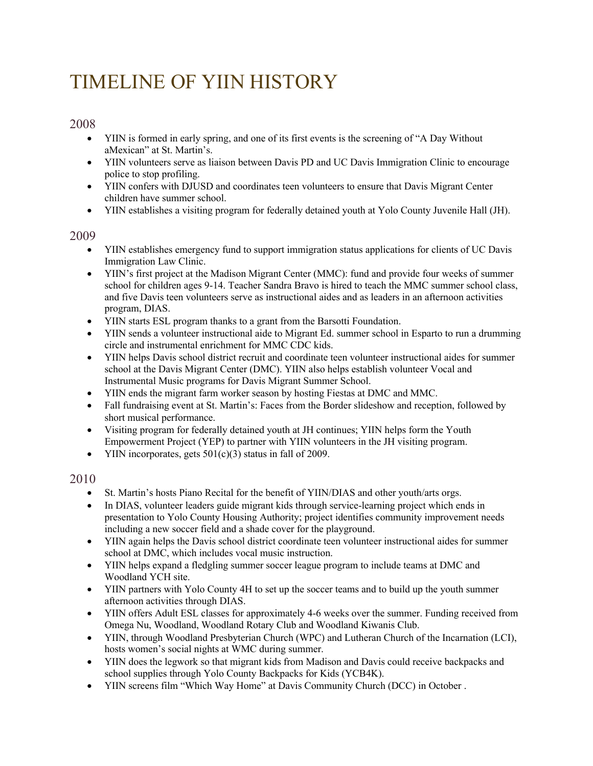# TIMELINE OF YIIN HISTORY

# 2008

- YIIN is formed in early spring, and one of its first events is the screening of "A Day Without" aMexican" at St. Martin's.
- YIIN volunteers serve as liaison between Davis PD and UC Davis Immigration Clinic to encourage police to stop profiling.
- YIIN confers with DJUSD and coordinates teen volunteers to ensure that Davis Migrant Center children have summer school.
- YIIN establishes a visiting program for federally detained youth at Yolo County Juvenile Hall (JH).

# 2009

- YIIN establishes emergency fund to support immigration status applications for clients of UC Davis Immigration Law Clinic.
- YIIN's first project at the Madison Migrant Center (MMC): fund and provide four weeks of summer school for children ages 9-14. Teacher Sandra Bravo is hired to teach the MMC summer school class, and five Davis teen volunteers serve as instructional aides and as leaders in an afternoon activities program, DIAS.
- YIIN starts ESL program thanks to a grant from the Barsotti Foundation.
- YIIN sends a volunteer instructional aide to Migrant Ed. summer school in Esparto to run a drumming circle and instrumental enrichment for MMC CDC kids.
- YIIN helps Davis school district recruit and coordinate teen volunteer instructional aides for summer school at the Davis Migrant Center (DMC). YIIN also helps establish volunteer Vocal and Instrumental Music programs for Davis Migrant Summer School.
- YIIN ends the migrant farm worker season by hosting Fiestas at DMC and MMC.
- Fall fundraising event at St. Martin's: Faces from the Border slideshow and reception, followed by short musical performance.
- Visiting program for federally detained youth at JH continues; YIIN helps form the Youth Empowerment Project (YEP) to partner with YIIN volunteers in the JH visiting program.
- YIIN incorporates, gets  $501(c)(3)$  status in fall of 2009.

- St. Martin's hosts Piano Recital for the benefit of YIIN/DIAS and other youth/arts orgs.
- In DIAS, volunteer leaders guide migrant kids through service-learning project which ends in presentation to Yolo County Housing Authority; project identifies community improvement needs including a new soccer field and a shade cover for the playground.
- YIIN again helps the Davis school district coordinate teen volunteer instructional aides for summer school at DMC, which includes vocal music instruction.
- YIIN helps expand a fledgling summer soccer league program to include teams at DMC and Woodland YCH site.
- YIIN partners with Yolo County 4H to set up the soccer teams and to build up the youth summer afternoon activities through DIAS.
- YIIN offers Adult ESL classes for approximately 4-6 weeks over the summer. Funding received from Omega Nu, Woodland, Woodland Rotary Club and Woodland Kiwanis Club.
- YIIN, through Woodland Presbyterian Church (WPC) and Lutheran Church of the Incarnation (LCI), hosts women's social nights at WMC during summer.
- YIIN does the legwork so that migrant kids from Madison and Davis could receive backpacks and school supplies through Yolo County Backpacks for Kids (YCB4K).
- YIIN screens film "Which Way Home" at Davis Community Church (DCC) in October .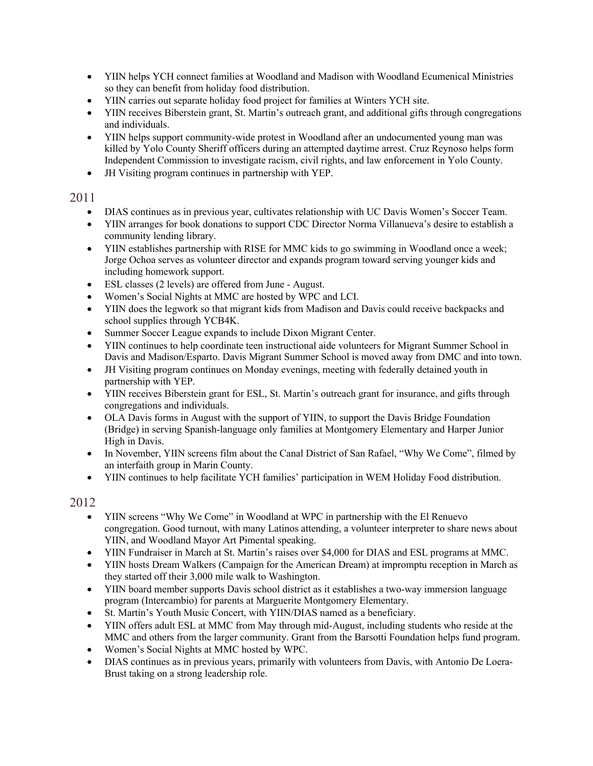- YIIN helps YCH connect families at Woodland and Madison with Woodland Ecumenical Ministries so they can benefit from holiday food distribution.
- YIIN carries out separate holiday food project for families at Winters YCH site.
- YIIN receives Biberstein grant, St. Martin's outreach grant, and additional gifts through congregations and individuals.
- YIIN helps support community-wide protest in Woodland after an undocumented young man was killed by Yolo County Sheriff officers during an attempted daytime arrest. Cruz Reynoso helps form Independent Commission to investigate racism, civil rights, and law enforcement in Yolo County.
- JH Visiting program continues in partnership with YEP.

- DIAS continues as in previous year, cultivates relationship with UC Davis Women's Soccer Team.
- YIIN arranges for book donations to support CDC Director Norma Villanueva's desire to establish a community lending library.
- YIIN establishes partnership with RISE for MMC kids to go swimming in Woodland once a week; Jorge Ochoa serves as volunteer director and expands program toward serving younger kids and including homework support.
- ESL classes (2 levels) are offered from June August.
- Women's Social Nights at MMC are hosted by WPC and LCI.
- YIIN does the legwork so that migrant kids from Madison and Davis could receive backpacks and school supplies through YCB4K.
- Summer Soccer League expands to include Dixon Migrant Center.
- YIIN continues to help coordinate teen instructional aide volunteers for Migrant Summer School in Davis and Madison/Esparto. Davis Migrant Summer School is moved away from DMC and into town.
- JH Visiting program continues on Monday evenings, meeting with federally detained youth in partnership with YEP.
- YIIN receives Biberstein grant for ESL, St. Martin's outreach grant for insurance, and gifts through congregations and individuals.
- OLA Davis forms in August with the support of YIIN, to support the Davis Bridge Foundation (Bridge) in serving Spanish-language only families at Montgomery Elementary and Harper Junior High in Davis.
- In November, YIIN screens film about the Canal District of San Rafael, "Why We Come", filmed by an interfaith group in Marin County.
- YIIN continues to help facilitate YCH families' participation in WEM Holiday Food distribution.

- YIIN screens "Why We Come" in Woodland at WPC in partnership with the El Renuevo congregation. Good turnout, with many Latinos attending, a volunteer interpreter to share news about YIIN, and Woodland Mayor Art Pimental speaking.
- YIIN Fundraiser in March at St. Martin's raises over \$4,000 for DIAS and ESL programs at MMC.
- YIIN hosts Dream Walkers (Campaign for the American Dream) at impromptu reception in March as they started off their 3,000 mile walk to Washington.
- YIIN board member supports Davis school district as it establishes a two-way immersion language program (Intercambio) for parents at Marguerite Montgomery Elementary.
- St. Martin's Youth Music Concert, with YIIN/DIAS named as a beneficiary.
- YIIN offers adult ESL at MMC from May through mid-August, including students who reside at the MMC and others from the larger community. Grant from the Barsotti Foundation helps fund program.
- Women's Social Nights at MMC hosted by WPC.
- DIAS continues as in previous years, primarily with volunteers from Davis, with Antonio De Loera-Brust taking on a strong leadership role.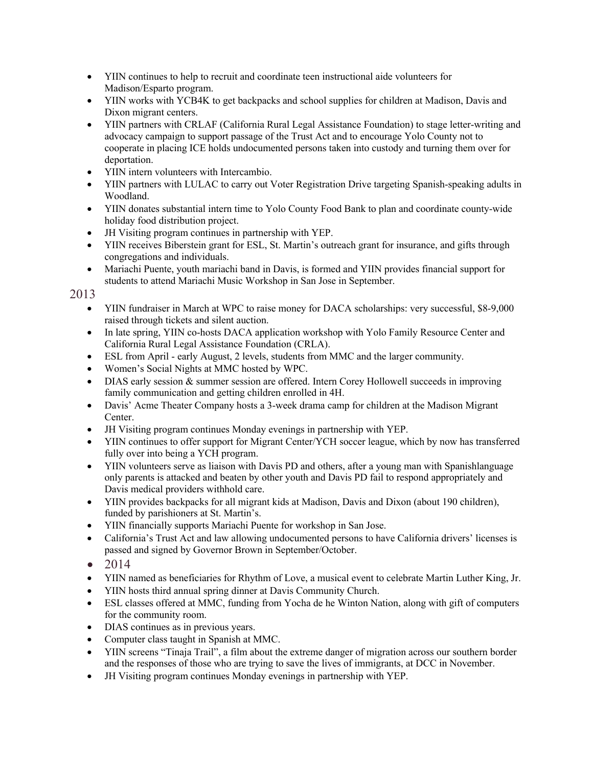- YIIN continues to help to recruit and coordinate teen instructional aide volunteers for Madison/Esparto program.
- YIIN works with YCB4K to get backpacks and school supplies for children at Madison, Davis and Dixon migrant centers.
- YIIN partners with CRLAF (California Rural Legal Assistance Foundation) to stage letter-writing and advocacy campaign to support passage of the Trust Act and to encourage Yolo County not to cooperate in placing ICE holds undocumented persons taken into custody and turning them over for deportation.
- YIIN intern volunteers with Intercambio.
- YIIN partners with LULAC to carry out Voter Registration Drive targeting Spanish-speaking adults in Woodland.
- YIIN donates substantial intern time to Yolo County Food Bank to plan and coordinate county-wide holiday food distribution project.
- JH Visiting program continues in partnership with YEP.
- YIIN receives Biberstein grant for ESL, St. Martin's outreach grant for insurance, and gifts through congregations and individuals.
- Mariachi Puente, youth mariachi band in Davis, is formed and YIIN provides financial support for students to attend Mariachi Music Workshop in San Jose in September.

- YIIN fundraiser in March at WPC to raise money for DACA scholarships: very successful, \$8-9,000 raised through tickets and silent auction.
- In late spring, YIIN co-hosts DACA application workshop with Yolo Family Resource Center and California Rural Legal Assistance Foundation (CRLA).
- ESL from April early August, 2 levels, students from MMC and the larger community.
- Women's Social Nights at MMC hosted by WPC.
- DIAS early session & summer session are offered. Intern Corey Hollowell succeeds in improving family communication and getting children enrolled in 4H.
- Davis' Acme Theater Company hosts a 3-week drama camp for children at the Madison Migrant Center.
- JH Visiting program continues Monday evenings in partnership with YEP.
- YIIN continues to offer support for Migrant Center/YCH soccer league, which by now has transferred fully over into being a YCH program.
- YIIN volunteers serve as liaison with Davis PD and others, after a young man with Spanishlanguage only parents is attacked and beaten by other youth and Davis PD fail to respond appropriately and Davis medical providers withhold care.
- YIIN provides backpacks for all migrant kids at Madison, Davis and Dixon (about 190 children), funded by parishioners at St. Martin's.
- YIIN financially supports Mariachi Puente for workshop in San Jose.
- California's Trust Act and law allowing undocumented persons to have California drivers' licenses is passed and signed by Governor Brown in September/October.
- 2014
- YIIN named as beneficiaries for Rhythm of Love, a musical event to celebrate Martin Luther King, Jr.
- YIIN hosts third annual spring dinner at Davis Community Church.
- ESL classes offered at MMC, funding from Yocha de he Winton Nation, along with gift of computers for the community room.
- DIAS continues as in previous years.
- Computer class taught in Spanish at MMC.
- YIIN screens "Tinaja Trail", a film about the extreme danger of migration across our southern border and the responses of those who are trying to save the lives of immigrants, at DCC in November.
- JH Visiting program continues Monday evenings in partnership with YEP.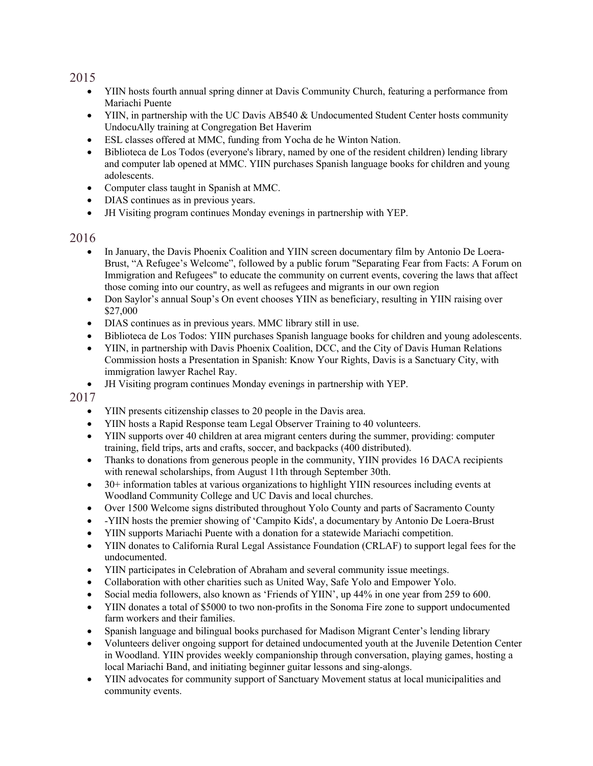- YIIN hosts fourth annual spring dinner at Davis Community Church, featuring a performance from Mariachi Puente
- YIIN, in partnership with the UC Davis AB540 & Undocumented Student Center hosts community UndocuAlly training at Congregation Bet Haverim
- ESL classes offered at MMC, funding from Yocha de he Winton Nation.
- Biblioteca de Los Todos (everyone's library, named by one of the resident children) lending library and computer lab opened at MMC. YIIN purchases Spanish language books for children and young adolescents.
- Computer class taught in Spanish at MMC.
- DIAS continues as in previous years.
- JH Visiting program continues Monday evenings in partnership with YEP.

#### 2016

- In January, the Davis Phoenix Coalition and YIIN screen documentary film by Antonio De Loera-Brust, "A Refugee's Welcome", followed by a public forum "Separating Fear from Facts: A Forum on Immigration and Refugees" to educate the community on current events, covering the laws that affect those coming into our country, as well as refugees and migrants in our own region
- Don Saylor's annual Soup's On event chooses YIIN as beneficiary, resulting in YIIN raising over \$27,000
- DIAS continues as in previous years. MMC library still in use.
- Biblioteca de Los Todos: YIIN purchases Spanish language books for children and young adolescents.
- YIIN, in partnership with Davis Phoenix Coalition, DCC, and the City of Davis Human Relations Commission hosts a Presentation in Spanish: Know Your Rights, Davis is a Sanctuary City, with immigration lawyer Rachel Ray.
- JH Visiting program continues Monday evenings in partnership with YEP.

- YIIN presents citizenship classes to 20 people in the Davis area.
- YIIN hosts a Rapid Response team Legal Observer Training to 40 volunteers.
- YIIN supports over 40 children at area migrant centers during the summer, providing: computer training, field trips, arts and crafts, soccer, and backpacks (400 distributed).
- Thanks to donations from generous people in the community, YIIN provides 16 DACA recipients with renewal scholarships, from August 11th through September 30th.
- 30+ information tables at various organizations to highlight YIIN resources including events at Woodland Community College and UC Davis and local churches.
- Over 1500 Welcome signs distributed throughout Yolo County and parts of Sacramento County
- -YIIN hosts the premier showing of 'Campito Kids', a documentary by Antonio De Loera-Brust
- YIIN supports Mariachi Puente with a donation for a statewide Mariachi competition.
- YIIN donates to California Rural Legal Assistance Foundation (CRLAF) to support legal fees for the undocumented.
- YIIN participates in Celebration of Abraham and several community issue meetings.
- Collaboration with other charities such as United Way, Safe Yolo and Empower Yolo.
- Social media followers, also known as 'Friends of YIIN', up 44% in one year from 259 to 600.
- YIIN donates a total of \$5000 to two non-profits in the Sonoma Fire zone to support undocumented farm workers and their families.
- Spanish language and bilingual books purchased for Madison Migrant Center's lending library
- Volunteers deliver ongoing support for detained undocumented youth at the Juvenile Detention Center in Woodland. YIIN provides weekly companionship through conversation, playing games, hosting a local Mariachi Band, and initiating beginner guitar lessons and sing-alongs.
- YIIN advocates for community support of Sanctuary Movement status at local municipalities and community events.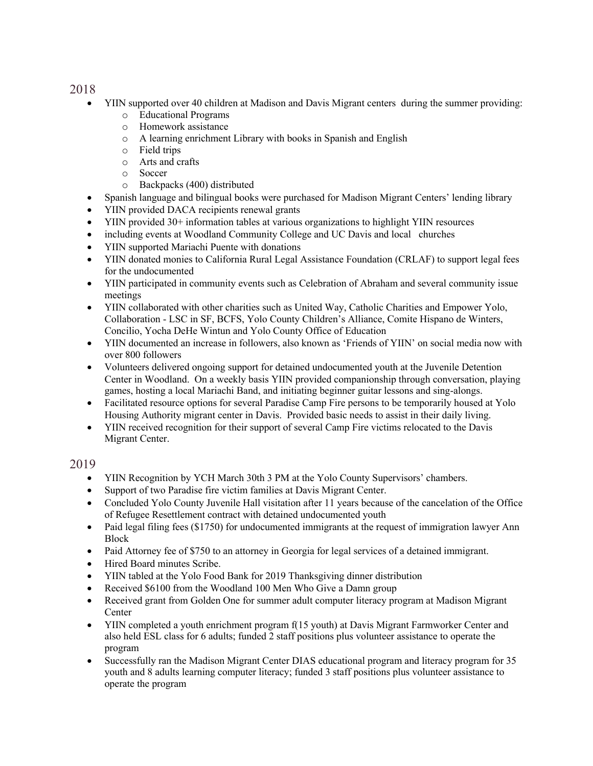- YIIN supported over 40 children at Madison and Davis Migrant centers during the summer providing:
	- o Educational Programs
	- o Homework assistance
	- o A learning enrichment Library with books in Spanish and English
	- o Field trips
	- o Arts and crafts
	- o Soccer
	- o Backpacks (400) distributed
- Spanish language and bilingual books were purchased for Madison Migrant Centers' lending library
- YIIN provided DACA recipients renewal grants
- YIIN provided 30+ information tables at various organizations to highlight YIIN resources
- including events at Woodland Community College and UC Davis and local churches
- YIIN supported Mariachi Puente with donations
- YIIN donated monies to California Rural Legal Assistance Foundation (CRLAF) to support legal fees for the undocumented
- YIIN participated in community events such as Celebration of Abraham and several community issue meetings
- YIIN collaborated with other charities such as United Way, Catholic Charities and Empower Yolo, Collaboration - LSC in SF, BCFS, Yolo County Children's Alliance, Comite Hispano de Winters, Concilio, Yocha DeHe Wintun and Yolo County Office of Education
- YIIN documented an increase in followers, also known as 'Friends of YIIN' on social media now with over 800 followers
- Volunteers delivered ongoing support for detained undocumented youth at the Juvenile Detention Center in Woodland. On a weekly basis YIIN provided companionship through conversation, playing games, hosting a local Mariachi Band, and initiating beginner guitar lessons and sing-alongs.
- Facilitated resource options for several Paradise Camp Fire persons to be temporarily housed at Yolo Housing Authority migrant center in Davis. Provided basic needs to assist in their daily living.
- YIIN received recognition for their support of several Camp Fire victims relocated to the Davis Migrant Center.

- YIIN Recognition by YCH March 30th 3 PM at the Yolo County Supervisors' chambers.
- Support of two Paradise fire victim families at Davis Migrant Center.
- Concluded Yolo County Juvenile Hall visitation after 11 years because of the cancelation of the Office of Refugee Resettlement contract with detained undocumented youth
- Paid legal filing fees (\$1750) for undocumented immigrants at the request of immigration lawyer Ann Block
- Paid Attorney fee of \$750 to an attorney in Georgia for legal services of a detained immigrant.
- Hired Board minutes Scribe.
- YIIN tabled at the Yolo Food Bank for 2019 Thanksgiving dinner distribution
- Received \$6100 from the Woodland 100 Men Who Give a Damn group
- Received grant from Golden One for summer adult computer literacy program at Madison Migrant Center
- YIIN completed a youth enrichment program  $f(15$  youth) at Davis Migrant Farmworker Center and also held ESL class for 6 adults; funded 2 staff positions plus volunteer assistance to operate the program
- Successfully ran the Madison Migrant Center DIAS educational program and literacy program for 35 youth and 8 adults learning computer literacy; funded 3 staff positions plus volunteer assistance to operate the program